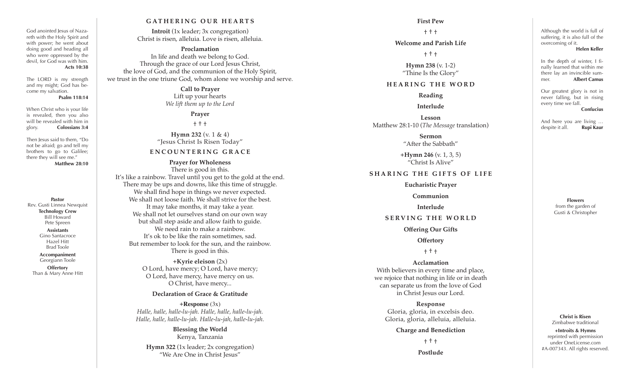#### **GATHERING O UR HEARTS**

**Introit** (1x leader; 3x congregation) Christ is risen, alleluia. Love is risen, alleluia.

#### **Proclamation**

In life and death we belong to God. Through the grace of our Lord Jesus Christ, the love of God, and the communion of the Holy Spirit, we trust in the one triune God, whom alone we worship and serve.

## **Call to Prayer**

Lift up your hearts *We lift them up to the Lord*

**Prayer**

† † †

**Hymn 232** (v. 1 & 4) "Jesus Christ Is Risen Today"

## **E N C O U N T E R I N G G R A C E**

**Prayer for Wholeness** There is good in this. It's like a rainbow. Travel until you get to the gold at the end. There may be ups and downs, like this time of struggle. We shall find hope in things we never expected. We shall not loose faith. We shall strive for the best. It may take months, it may take a year. We shall not let ourselves stand on our own way but shall step aside and allow faith to guide. We need rain to make a rainbow. It's ok to be like the rain sometimes, sad. But remember to look for the sun, and the rainbow. There is good in this.

**Pastor** Rev. Gusti Linnea Newquist **Technology Crew** Bill Howard Pete Spreen **Assistants** Gino Santacroce Hazel Hitt Brad Toole **Accompaniment** Georgiann Toole **Offertory** Than & Mary Anne Hitt

God anointed Jesus of Naza reth with the Holy Spirit and with power; he went about doing good and heading all who were oppressed by the devil, for God was with him.

The LORD is my strength and my might; God has be come my salvation.

When Christ who is your life is revealed, then you also will be revealed with him in glory. **Colossians 3:4** Then Jesus said to them, "Do not be afraid; go and tell my brothers to go to Galilee; there they will see me."

**Acts 10:38**

**Psalm 118:14**

**Matthew 28:10**

**+Kyrie eleison** (2x) O Lord, have mercy; O Lord, have mercy; O Lord, have mercy, have mercy on us. O Christ, have mercy...

### **Declaration of Grace & Gratitude**

**+Response** (3x) *Halle, halle, halle-lu-jah. Halle, halle, halle-lu-jah. Halle, halle, halle-lu-jah. Halle-lu-jah, halle-lu-jah.*

**Blessing the World** Kenya, Tanzania **Hymn 322** (1x leader; 2x congregation)

"We Are One in Christ Jesus"

#### **First Pew**

#### † † †

#### **Welcome and Parish Life**

† † †

**Hymn 238** (v. 1-2) "Thine Is the Glory"

#### **HEARING THE WORD**

**Reading**

**Interlude**

**Lesson** Matthew 28:1-10 (*The Message* translation)

> **Sermon** "After the Sabbath"

**+Hymn 246** (v. 1, 3, 5) "Christ Is Alive"

### **SHARING THE GIFTS OF LIFE**

**Eucharistic Prayer**

**Communion**

**Interlude**

#### **SERVING THE WORLD**

**Offering Our Gifts**

**Offertory**

† † †

#### **Acclamation**

With believers in every time and place, we rejoice that nothing in life or in death can separate us from the love of God in Christ Jesus our Lord.

**Response** Gloria, gloria, in excelsis deo. Gloria, gloria, alleluia, alleluia.

#### **Charge and Benediction**

† † †

**Postlude**

Although the world is full of suffering, it is also full of the overcoming of it.

**Helen Keller**

In the depth of winter, I fi nally learned that within me there lay an invincible sum mer. **Albert Camus**

Our greatest glory is not in never falling, but in rising every time we fall. **Confucius**

despite it all. **Rupi Kaur**

And here you are living …

**Flowers** from the garden of Gusti & Christopher

**Christ is Risen** Zimbabwe traditional **+Introits & Hymns** reprinted with permission under OneLicense.com #A-007343. All rights reserved.